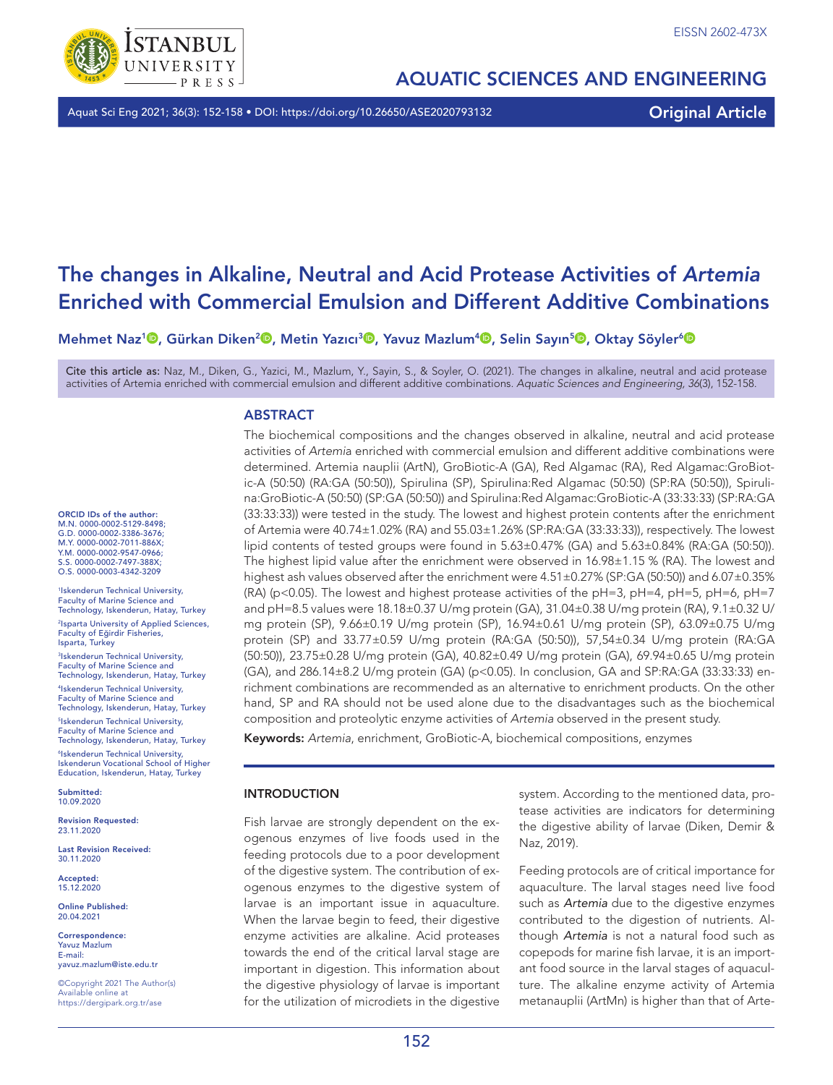

# AQUATIC SCIENCES AND ENGINEERING

Aquat Sci Eng 2021; 36(3): 152-158 • DOI: https://doi.org/10.26650/ASE2020793132 **Original Article** 

# The changes in Alkaline, Neutral and Acid Protease Activities of *Artemia* Enriched with Commercial Emulsion and Different Additive Combinations

Mehmet Naz<sup>1</sup> , Gürkan Diken<sup>2 ()</sup>, Metin Yazıcı<sup>3 ()</sup>, Yavuz Mazlum<sup>4 ()</sup>, Selin Sayın<sup>5 ()</sup>, Oktay Söyler<sup>6 ()</sup>

Cite this article as: Naz, M., Diken, G., Yazici, M., Mazlum, Y., Sayin, S., & Soyler, O. (2021). The changes in alkaline, neutral and acid protease activities of Artemia enriched with commercial emulsion and different additive combinations. *Aquatic Sciences and Engineering, 36*(3), 152-158.

## **ABSTRACT**

ORCID IDs of the author: M.N. 0000-0002-5129-8498; G.D. 0000-0002-3386-3676; M.Y. 0000-0002-7011-886X; Y.M. 0000-0002-9547-0966; S.S. 0000-0002-7497-388X O.S. 0000-0003-4342-3209

1Iskenderun Technical University, Faculty of Marine Science and Technology, Iskenderun, Hatay, Turkey 2Isparta University of Applied Sciences, Faculty of Eğirdir Fisheries, Isparta, Turkey

3Iskenderun Technical University, Faculty of Marine Science and Technology, Iskenderun, Hatay, Turkey 4Iskenderun Technical University, Faculty of Marine Science and Technology, Iskenderun, Hatay, Turkey 5Iskenderun Technical University, Faculty of Marine Science and Technology, Iskenderun, Hatay, Turkey <sup>6</sup>Iskenderun Technical University,<br>Iskenderun Vocational School of Higher Education, Iskenderun, Hatay, Turkey

Submitted: 10.09.2020

Revision Requested: 23.11.2020

Last Revision Received: 30.11.2020

Accepted: 15.12.2020

Online Published: 20.04.2021

Correspondence: Yavuz Mazlum E-mail: yavuz.mazlum@iste.edu.tr

©Copyright 2021 The Author(s) Available online at https://dergipark.org.tr/ase

The biochemical compositions and the changes observed in alkaline, neutral and acid protease activities of *Artemi*a enriched with commercial emulsion and different additive combinations were determined. Artemia nauplii (ArtN), GroBiotic-A (GA), Red Algamac (RA), Red Algamac:GroBiotic-A (50:50) (RA:GA (50:50)), Spirulina (SP), Spirulina:Red Algamac (50:50) (SP:RA (50:50)), Spirulina:GroBiotic-A (50:50) (SP:GA (50:50)) and Spirulina:Red Algamac:GroBiotic-A (33:33:33) (SP:RA:GA (33:33:33)) were tested in the study. The lowest and highest protein contents after the enrichment of Artemia were 40.74±1.02% (RA) and 55.03±1.26% (SP:RA:GA (33:33:33)), respectively. The lowest lipid contents of tested groups were found in 5.63±0.47% (GA) and 5.63±0.84% (RA:GA (50:50)). The highest lipid value after the enrichment were observed in 16.98±1.15 % (RA). The lowest and highest ash values observed after the enrichment were 4.51±0.27% (SP:GA (50:50)) and 6.07±0.35% (RA) (p<0.05). The lowest and highest protease activities of the pH=3, pH=4, pH=5, pH=6, pH=7 and pH=8.5 values were 18.18±0.37 U/mg protein (GA), 31.04±0.38 U/mg protein (RA), 9.1±0.32 U/ mg protein (SP), 9.66±0.19 U/mg protein (SP), 16.94±0.61 U/mg protein (SP), 63.09±0.75 U/mg protein (SP) and 33.77±0.59 U/mg protein (RA:GA (50:50)), 57,54±0.34 U/mg protein (RA:GA (50:50)), 23.75±0.28 U/mg protein (GA), 40.82±0.49 U/mg protein (GA), 69.94±0.65 U/mg protein (GA), and 286.14±8.2 U/mg protein (GA) (p<0.05). In conclusion, GA and SP:RA:GA (33:33:33) enrichment combinations are recommended as an alternative to enrichment products. On the other hand, SP and RA should not be used alone due to the disadvantages such as the biochemical composition and proteolytic enzyme activities of *Artemia* observed in the present study.

Keywords: *Artemia*, enrichment, GroBiotic-A, biochemical compositions, enzymes

# INTRODUCTION

Fish larvae are strongly dependent on the exogenous enzymes of live foods used in the feeding protocols due to a poor development of the digestive system. The contribution of exogenous enzymes to the digestive system of larvae is an important issue in aquaculture. When the larvae begin to feed, their digestive enzyme activities are alkaline. Acid proteases towards the end of the critical larval stage are important in digestion. This information about the digestive physiology of larvae is important for the utilization of microdiets in the digestive

system. According to the mentioned data, protease activities are indicators for determining the digestive ability of larvae (Diken, Demir & Naz, 2019).

Feeding protocols are of critical importance for aquaculture. The larval stages need live food such as *Artemia* due to the digestive enzymes contributed to the digestion of nutrients. Although *Artemia* is not a natural food such as copepods for marine fish larvae, it is an important food source in the larval stages of aquaculture. The alkaline enzyme activity of Artemia metanauplii (ArtMn) is higher than that of Arte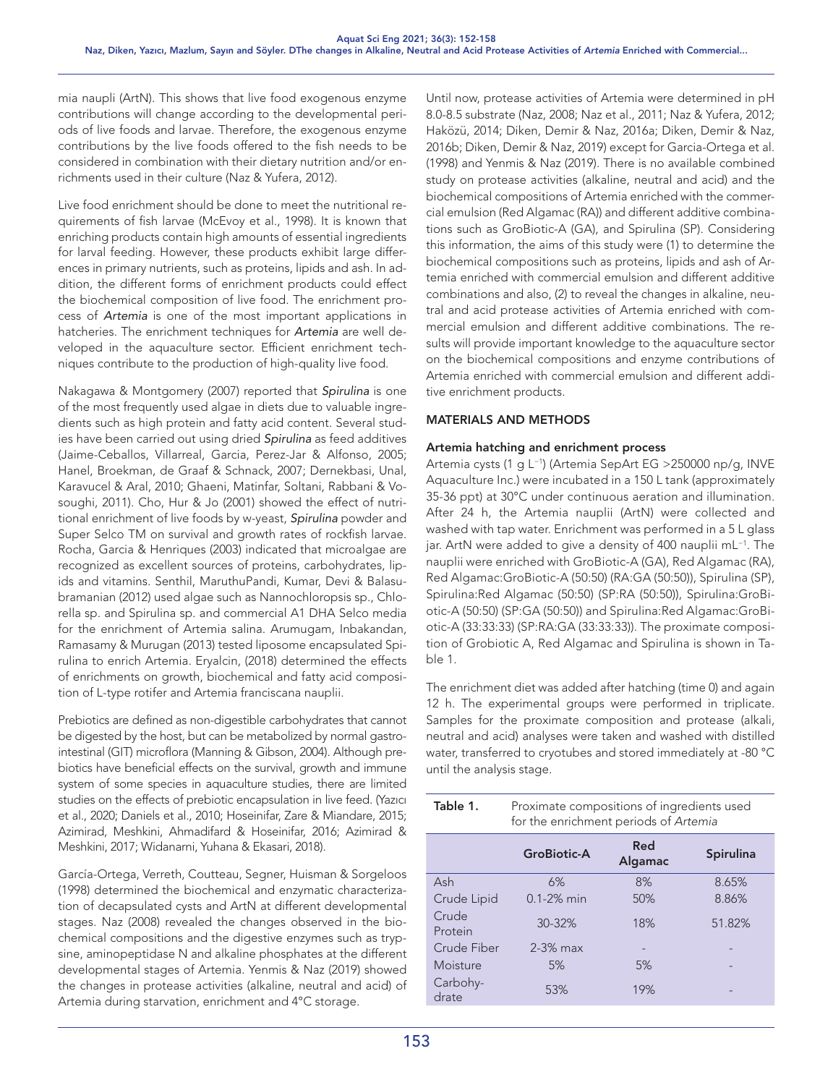mia naupli (ArtN). This shows that live food exogenous enzyme contributions will change according to the developmental periods of live foods and larvae. Therefore, the exogenous enzyme contributions by the live foods offered to the fish needs to be considered in combination with their dietary nutrition and/or enrichments used in their culture (Naz & Yufera, 2012).

Live food enrichment should be done to meet the nutritional requirements of fish larvae (McEvoy et al., 1998). It is known that enriching products contain high amounts of essential ingredients for larval feeding. However, these products exhibit large differences in primary nutrients, such as proteins, lipids and ash. In addition, the different forms of enrichment products could effect the biochemical composition of live food. The enrichment process of *Artemia* is one of the most important applications in hatcheries. The enrichment techniques for *Artemia* are well developed in the aquaculture sector. Efficient enrichment techniques contribute to the production of high-quality live food.

Nakagawa & Montgomery (2007) reported that *Spirulina* is one of the most frequently used algae in diets due to valuable ingredients such as high protein and fatty acid content. Several studies have been carried out using dried *Spirulina* as feed additives (Jaime-Ceballos, Villarreal, Garcia, Perez-Jar & Alfonso, 2005; Hanel, Broekman, de Graaf & Schnack, 2007; Dernekbasi, Unal, Karavucel & Aral, 2010; Ghaeni, Matinfar, Soltani, Rabbani & Vosoughi, 2011). Cho, Hur & Jo (2001) showed the effect of nutritional enrichment of live foods by w-yeast, *Spirulina* powder and Super Selco TM on survival and growth rates of rockfish larvae. Rocha, Garcia & Henriques (2003) indicated that microalgae are recognized as excellent sources of proteins, carbohydrates, lipids and vitamins. Senthil, MaruthuPandi, Kumar, Devi & Balasubramanian (2012) used algae such as Nannochloropsis sp., Chlorella sp. and Spirulina sp. and commercial A1 DHA Selco media for the enrichment of Artemia salina. Arumugam, Inbakandan, Ramasamy & Murugan (2013) tested liposome encapsulated Spirulina to enrich Artemia. Eryalcin, (2018) determined the effects of enrichments on growth, biochemical and fatty acid composition of L-type rotifer and Artemia franciscana nauplii.

Prebiotics are defined as non-digestible carbohydrates that cannot be digested by the host, but can be metabolized by normal gastrointestinal (GIT) microflora (Manning & Gibson, 2004). Although prebiotics have beneficial effects on the survival, growth and immune system of some species in aquaculture studies, there are limited studies on the effects of prebiotic encapsulation in live feed. (Yazıcı et al., 2020; Daniels et al., 2010; Hoseinifar, Zare & Miandare, 2015; Azimirad, Meshkini, Ahmadifard & Hoseinifar, 2016; Azimirad & Meshkini, 2017; Widanarni, Yuhana & Ekasari, 2018).

García-Ortega, Verreth, Coutteau, Segner, Huisman & Sorgeloos (1998) determined the biochemical and enzymatic characterization of decapsulated cysts and ArtN at different developmental stages. Naz (2008) revealed the changes observed in the biochemical compositions and the digestive enzymes such as trypsine, aminopeptidase N and alkaline phosphates at the different developmental stages of Artemia. Yenmis & Naz (2019) showed the changes in protease activities (alkaline, neutral and acid) of Artemia during starvation, enrichment and 4°C storage.

Until now, protease activities of Artemia were determined in pH 8.0-8.5 substrate (Naz, 2008; Naz et al., 2011; Naz & Yufera, 2012; Haközü, 2014; Diken, Demir & Naz, 2016a; Diken, Demir & Naz, 2016b; Diken, Demir & Naz, 2019) except for Garcia-Ortega et al. (1998) and Yenmis & Naz (2019). There is no available combined study on protease activities (alkaline, neutral and acid) and the biochemical compositions of Artemia enriched with the commercial emulsion (Red Algamac (RA)) and different additive combinations such as GroBiotic-A (GA), and Spirulina (SP). Considering this information, the aims of this study were (1) to determine the biochemical compositions such as proteins, lipids and ash of Artemia enriched with commercial emulsion and different additive combinations and also, (2) to reveal the changes in alkaline, neutral and acid protease activities of Artemia enriched with commercial emulsion and different additive combinations. The results will provide important knowledge to the aquaculture sector on the biochemical compositions and enzyme contributions of Artemia enriched with commercial emulsion and different additive enrichment products.

# MATERIALS AND METHODS

# Artemia hatching and enrichment process

Artemia cysts (1 g L−1) (Artemia SepArt EG >250000 np/g, INVE Aquaculture Inc.) were incubated in a 150 L tank (approximately 35-36 ppt) at 30°C under continuous aeration and illumination. After 24 h, the Artemia nauplii (ArtN) were collected and washed with tap water. Enrichment was performed in a 5 L glass jar. ArtN were added to give a density of 400 nauplii mL−1. The nauplii were enriched with GroBiotic-A (GA), Red Algamac (RA), Red Algamac:GroBiotic-A (50:50) (RA:GA (50:50)), Spirulina (SP), Spirulina:Red Algamac (50:50) (SP:RA (50:50)), Spirulina:GroBiotic-A (50:50) (SP:GA (50:50)) and Spirulina:Red Algamac:GroBiotic-A (33:33:33) (SP:RA:GA (33:33:33)). The proximate composition of Grobiotic A, Red Algamac and Spirulina is shown in Table 1.

The enrichment diet was added after hatching (time 0) and again 12 h. The experimental groups were performed in triplicate. Samples for the proximate composition and protease (alkali, neutral and acid) analyses were taken and washed with distilled water, transferred to cryotubes and stored immediately at -80 °C until the analysis stage.

| Table 1.          | Proximate compositions of ingredients used<br>for the enrichment periods of Artemia |                |                  |  |  |  |
|-------------------|-------------------------------------------------------------------------------------|----------------|------------------|--|--|--|
|                   | <b>GroBiotic-A</b>                                                                  | Red<br>Algamac | <b>Spirulina</b> |  |  |  |
| Ash               | 6%                                                                                  | 8%             | 8.65%            |  |  |  |
| Crude Lipid       | $0.1 - 2%$ min                                                                      | 50%            | 8.86%            |  |  |  |
| Crude<br>Protein  | 30-32%                                                                              | 18%            | 51.82%           |  |  |  |
| Crude Fiber       | $2-3%$ max                                                                          |                |                  |  |  |  |
| Moisture          | 5%                                                                                  | 5%             |                  |  |  |  |
| Carbohy-<br>drate | 53%                                                                                 | 19%            |                  |  |  |  |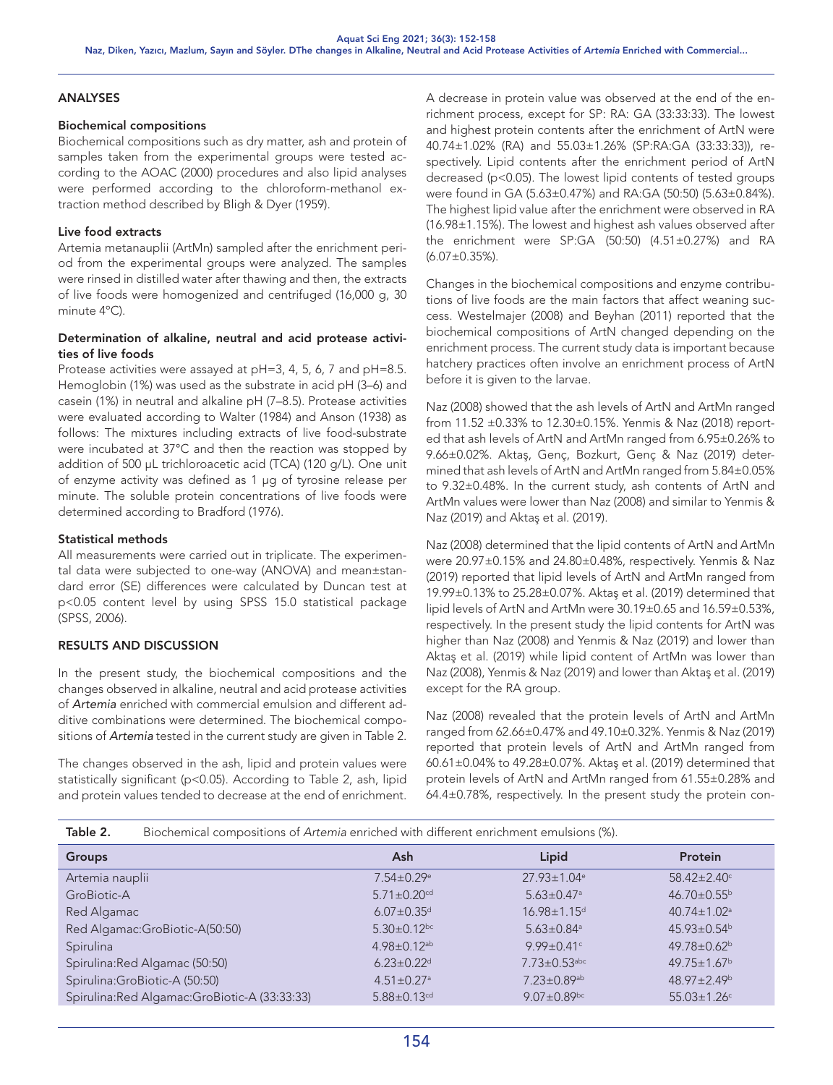#### ANALYSES

#### Biochemical compositions

Biochemical compositions such as dry matter, ash and protein of samples taken from the experimental groups were tested according to the AOAC (2000) procedures and also lipid analyses were performed according to the chloroform-methanol extraction method described by Bligh & Dyer (1959).

#### Live food extracts

Artemia metanauplii (ArtMn) sampled after the enrichment period from the experimental groups were analyzed. The samples were rinsed in distilled water after thawing and then, the extracts of live foods were homogenized and centrifuged (16,000 g, 30 minute 4ºC).

# Determination of alkaline, neutral and acid protease activities of live foods

Protease activities were assayed at pH=3, 4, 5, 6, 7 and pH=8.5. Hemoglobin (1%) was used as the substrate in acid pH (3–6) and casein (1%) in neutral and alkaline pH (7–8.5). Protease activities were evaluated according to Walter (1984) and Anson (1938) as follows: The mixtures including extracts of live food-substrate were incubated at 37°C and then the reaction was stopped by addition of 500 µL trichloroacetic acid (TCA) (120 g/L). One unit of enzyme activity was defined as 1 µg of tyrosine release per minute. The soluble protein concentrations of live foods were determined according to Bradford (1976).

#### Statistical methods

All measurements were carried out in triplicate. The experimental data were subjected to one-way (ANOVA) and mean±standard error (SE) differences were calculated by Duncan test at p<0.05 content level by using SPSS 15.0 statistical package (SPSS, 2006).

# RESULTS AND DISCUSSION

In the present study, the biochemical compositions and the changes observed in alkaline, neutral and acid protease activities of *Artemia* enriched with commercial emulsion and different additive combinations were determined. The biochemical compositions of *Artemia* tested in the current study are given in Table 2.

The changes observed in the ash, lipid and protein values were statistically significant (p<0.05). According to Table 2, ash, lipid and protein values tended to decrease at the end of enrichment.

A decrease in protein value was observed at the end of the enrichment process, except for SP: RA: GA (33:33:33). The lowest and highest protein contents after the enrichment of ArtN were 40.74±1.02% (RA) and 55.03±1.26% (SP:RA:GA (33:33:33)), respectively. Lipid contents after the enrichment period of ArtN decreased (p<0.05). The lowest lipid contents of tested groups were found in GA (5.63±0.47%) and RA:GA (50:50) (5.63±0.84%). The highest lipid value after the enrichment were observed in RA (16.98±1.15%). The lowest and highest ash values observed after the enrichment were SP:GA (50:50) (4.51±0.27%) and RA  $(6.07 \pm 0.35\%)$ .

Changes in the biochemical compositions and enzyme contributions of live foods are the main factors that affect weaning success. Westelmajer (2008) and Beyhan (2011) reported that the biochemical compositions of ArtN changed depending on the enrichment process. The current study data is important because hatchery practices often involve an enrichment process of ArtN before it is given to the larvae.

Naz (2008) showed that the ash levels of ArtN and ArtMn ranged from 11.52 ±0.33% to 12.30±0.15%. Yenmis & Naz (2018) reported that ash levels of ArtN and ArtMn ranged from 6.95±0.26% to 9.66±0.02%. Aktaş, Genç, Bozkurt, Genç & Naz (2019) determined that ash levels of ArtN and ArtMn ranged from 5.84±0.05% to 9.32±0.48%. In the current study, ash contents of ArtN and ArtMn values were lower than Naz (2008) and similar to Yenmis & Naz (2019) and Aktaş et al. (2019).

Naz (2008) determined that the lipid contents of ArtN and ArtMn were 20.97±0.15% and 24.80±0.48%, respectively. Yenmis & Naz (2019) reported that lipid levels of ArtN and ArtMn ranged from 19.99±0.13% to 25.28±0.07%. Aktaş et al. (2019) determined that lipid levels of ArtN and ArtMn were 30.19±0.65 and 16.59±0.53%, respectively. In the present study the lipid contents for ArtN was higher than Naz (2008) and Yenmis & Naz (2019) and lower than Aktaş et al. (2019) while lipid content of ArtMn was lower than Naz (2008), Yenmis & Naz (2019) and lower than Aktaş et al. (2019) except for the RA group.

Naz (2008) revealed that the protein levels of ArtN and ArtMn ranged from 62.66±0.47% and 49.10±0.32%. Yenmis & Naz (2019) reported that protein levels of ArtN and ArtMn ranged from 60.61±0.04% to 49.28±0.07%. Aktaş et al. (2019) determined that protein levels of ArtN and ArtMn ranged from 61.55±0.28% and 64.4±0.78%, respectively. In the present study the protein con-

| Table 2.<br>Biochemical compositions of Artemia enriched with different enrichment emulsions (%). |  |
|---------------------------------------------------------------------------------------------------|--|
|---------------------------------------------------------------------------------------------------|--|

| <b>Groups</b>                                  | Ash                           | Lipid                         | <b>Protein</b>                |
|------------------------------------------------|-------------------------------|-------------------------------|-------------------------------|
| Artemia nauplii                                | $7.54 \pm 0.29$ <sup>e</sup>  | $27.93 \pm 1.04$ <sup>e</sup> | $58.42 \pm 2.40^{\circ}$      |
| GroBiotic-A                                    | $5.71 \pm 0.20$ <sup>cd</sup> | $5.63 \pm 0.47$ <sup>a</sup>  | $46.70 \pm 0.55^{\circ}$      |
| Red Algamac                                    | $6.07 \pm 0.35$ <sup>d</sup>  | 16.98±1.15 <sup>d</sup>       | $40.74 \pm 1.02$ <sup>a</sup> |
| Red Algamac: GroBiotic-A(50:50)                | $5.30 \pm 0.12$ <sub>bc</sub> | $5.63 \pm 0.84$ <sup>a</sup>  | $45.93 \pm 0.54$ <sup>b</sup> |
| Spirulina                                      | $4.98 \pm 0.12$ <sup>ab</sup> | $9.99 \pm 0.41$ °             | 49.78±0.62 <sup>b</sup>       |
| Spirulina: Red Algamac (50:50)                 | $6.23 \pm 0.22$ <sup>d</sup>  | $7.73 \pm 0.53$ abc           | $49.75 \pm 1.67^{\circ}$      |
| Spirulina:GroBiotic-A (50:50)                  | $4.51 \pm 0.27$ <sup>a</sup>  | $7.23 \pm 0.89$ <sup>ab</sup> | $48.97 \pm 2.49$              |
| Spirulina: Red Algamac: GroBiotic-A (33:33:33) | $5.88 \pm 0.13$ <sup>cd</sup> | $9.07 \pm 0.89$ bc            | $55.03 \pm 1.26$ <sup>c</sup> |
|                                                |                               |                               |                               |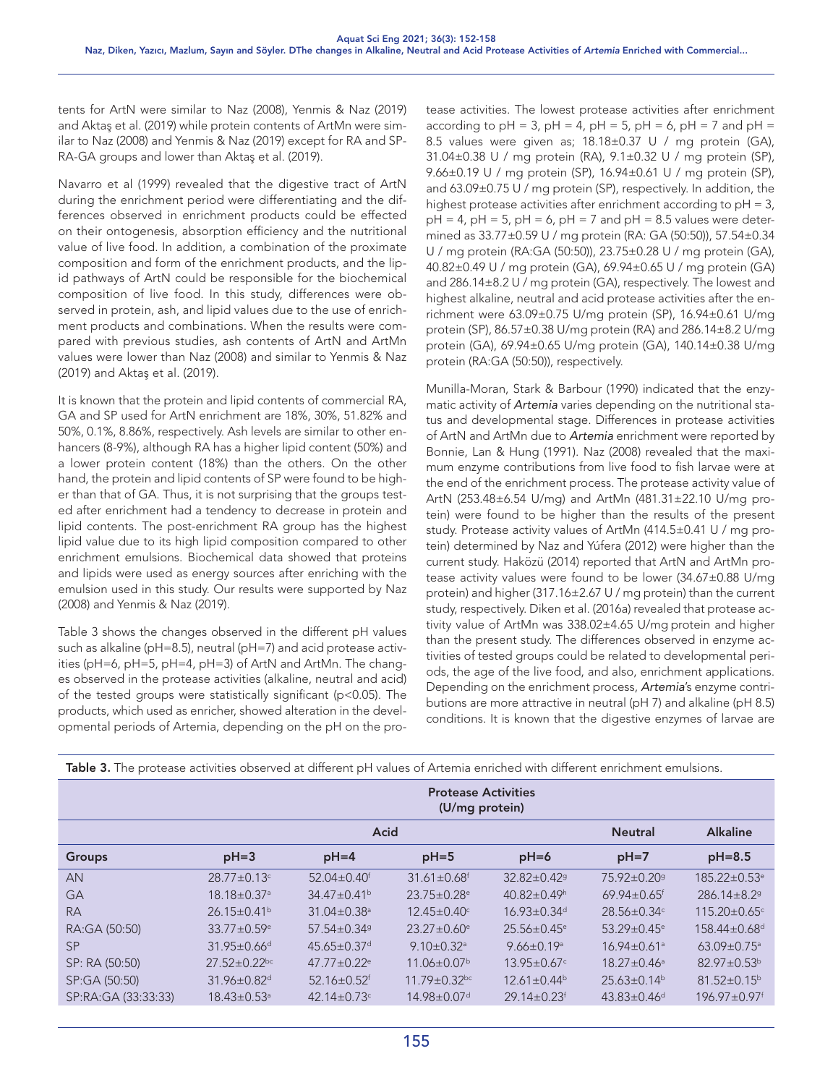tents for ArtN were similar to Naz (2008), Yenmis & Naz (2019) and Aktaş et al. (2019) while protein contents of ArtMn were similar to Naz (2008) and Yenmis & Naz (2019) except for RA and SP-RA-GA groups and lower than Aktaş et al. (2019).

Navarro et al (1999) revealed that the digestive tract of ArtN during the enrichment period were differentiating and the differences observed in enrichment products could be effected on their ontogenesis, absorption efficiency and the nutritional value of live food. In addition, a combination of the proximate composition and form of the enrichment products, and the lipid pathways of ArtN could be responsible for the biochemical composition of live food. In this study, differences were observed in protein, ash, and lipid values due to the use of enrichment products and combinations. When the results were compared with previous studies, ash contents of ArtN and ArtMn values were lower than Naz (2008) and similar to Yenmis & Naz (2019) and Aktaş et al. (2019).

It is known that the protein and lipid contents of commercial RA, GA and SP used for ArtN enrichment are 18%, 30%, 51.82% and 50%, 0.1%, 8.86%, respectively. Ash levels are similar to other enhancers (8-9%), although RA has a higher lipid content (50%) and a lower protein content (18%) than the others. On the other hand, the protein and lipid contents of SP were found to be higher than that of GA. Thus, it is not surprising that the groups tested after enrichment had a tendency to decrease in protein and lipid contents. The post-enrichment RA group has the highest lipid value due to its high lipid composition compared to other enrichment emulsions. Biochemical data showed that proteins and lipids were used as energy sources after enriching with the emulsion used in this study. Our results were supported by Naz (2008) and Yenmis & Naz (2019).

Table 3 shows the changes observed in the different pH values such as alkaline (pH=8.5), neutral (pH=7) and acid protease activities (pH=6, pH=5, pH=4, pH=3) of ArtN and ArtMn. The changes observed in the protease activities (alkaline, neutral and acid) of the tested groups were statistically significant (p<0.05). The products, which used as enricher, showed alteration in the developmental periods of Artemia, depending on the pH on the pro-

tease activities. The lowest protease activities after enrichment according to  $pH = 3$ ,  $pH = 4$ ,  $pH = 5$ ,  $pH = 6$ ,  $pH = 7$  and  $pH =$ 8.5 values were given as; 18.18±0.37 U / mg protein (GA), 31.04±0.38 U / mg protein (RA), 9.1±0.32 U / mg protein (SP), 9.66±0.19 U / mg protein (SP), 16.94±0.61 U / mg protein (SP), and 63.09±0.75 U / mg protein (SP), respectively. In addition, the highest protease activities after enrichment according to pH = 3,  $pH = 4$ ,  $pH = 5$ ,  $pH = 6$ ,  $pH = 7$  and  $pH = 8.5$  values were determined as 33.77±0.59 U / mg protein (RA: GA (50:50)), 57.54±0.34 U / mg protein (RA:GA (50:50)), 23.75±0.28 U / mg protein (GA), 40.82±0.49 U / mg protein (GA), 69.94±0.65 U / mg protein (GA) and 286.14±8.2 U / mg protein (GA), respectively. The lowest and highest alkaline, neutral and acid protease activities after the enrichment were 63.09±0.75 U/mg protein (SP), 16.94±0.61 U/mg protein (SP), 86.57±0.38 U/mg protein (RA) and 286.14±8.2 U/mg protein (GA), 69.94±0.65 U/mg protein (GA), 140.14±0.38 U/mg protein (RA:GA (50:50)), respectively.

Munilla-Moran, Stark & Barbour (1990) indicated that the enzymatic activity of *Artemia* varies depending on the nutritional status and developmental stage. Differences in protease activities of ArtN and ArtMn due to *Artemia* enrichment were reported by Bonnie, Lan & Hung (1991). Naz (2008) revealed that the maximum enzyme contributions from live food to fish larvae were at the end of the enrichment process. The protease activity value of ArtN (253.48±6.54 U/mg) and ArtMn (481.31±22.10 U/mg protein) were found to be higher than the results of the present study. Protease activity values of ArtMn (414.5±0.41 U / mg protein) determined by Naz and Yúfera (2012) were higher than the current study. Haközü (2014) reported that ArtN and ArtMn protease activity values were found to be lower (34.67±0.88 U/mg protein) and higher (317.16±2.67 U / mg protein) than the current study, respectively. Diken et al. (2016a) revealed that protease activity value of ArtMn was 338.02±4.65 U/mg protein and higher than the present study. The differences observed in enzyme activities of tested groups could be related to developmental periods, the age of the live food, and also, enrichment applications. Depending on the enrichment process, *Artemia*'s enzyme contributions are more attractive in neutral (pH 7) and alkaline (pH 8.5) conditions. It is known that the digestive enzymes of larvae are

| <b>Table 3.</b> The protease activities observed at different pH values of Artemia enriched with different enrichment emulsions. |                                              |                               |                                |                               |                               |                                |  |
|----------------------------------------------------------------------------------------------------------------------------------|----------------------------------------------|-------------------------------|--------------------------------|-------------------------------|-------------------------------|--------------------------------|--|
|                                                                                                                                  | <b>Protease Activities</b><br>(U/mg protein) |                               |                                |                               |                               |                                |  |
|                                                                                                                                  | Acid                                         |                               |                                |                               | <b>Neutral</b>                | <b>Alkaline</b>                |  |
| <b>Groups</b>                                                                                                                    | $pH = 3$                                     | $pH=4$                        | $pH=5$                         | $pH=6$                        | $pH=7$                        | $pH=8.5$                       |  |
| AN                                                                                                                               | $28.77 \pm 0.13$ °                           | $52.04 \pm 0.40$ <sup>f</sup> | $31.61 \pm 0.68$ <sup>f</sup>  | $32.82 \pm 0.42$ <sup>g</sup> | 75.92±0.20 <sup>9</sup>       | $185.22 \pm 0.53$ <sup>e</sup> |  |
| GА                                                                                                                               | 18.18±0.37 <sup>a</sup>                      | $34.47 \pm 0.41^{\circ}$      | $23.75 \pm 0.28$ <sup>e</sup>  | $40.82 \pm 0.49$ h            | $69.94 \pm 0.65$ <sup>f</sup> | $286.14 \pm 8.29$              |  |
| <b>RA</b>                                                                                                                        | $26.15 \pm 0.41^{\circ}$                     | $31.04 \pm 0.38$ <sup>a</sup> | $12.45 \pm 0.40$ °             | $16.93 \pm 0.34$ <sup>d</sup> | $28.56 \pm 0.34$ °            | $115.20 \pm 0.65$ <sup>c</sup> |  |
| RA:GA (50:50)                                                                                                                    | $33.77 \pm 0.59$ <sup>e</sup>                | $57.54 \pm 0.34$ <sup>9</sup> | $23.27 \pm 0.60$ <sup>e</sup>  | $25.56 \pm 0.45$ <sup>e</sup> | $53.29 \pm 0.45$ <sup>e</sup> | $158.44 \pm 0.68$ <sup>d</sup> |  |
| <b>SP</b>                                                                                                                        | $31.95 \pm 0.66$ <sup>d</sup>                | $45.65 \pm 0.37$ <sup>d</sup> | $9.10 \pm 0.32$ <sup>a</sup>   | $9.66 \pm 0.19$ <sup>a</sup>  | $16.94 \pm 0.61$ <sup>a</sup> | $63.09 \pm 0.75$ <sup>a</sup>  |  |
| SP: RA (50:50)                                                                                                                   | $27.52 \pm 0.22$ bc                          | $47.77 \pm 0.22$ <sup>e</sup> | $11.06 \pm 0.07$ <sup>b</sup>  | $13.95 \pm 0.67$ °            | $18.27 \pm 0.46$ <sup>a</sup> | $82.97 \pm 0.53^{\circ}$       |  |
| SP:GA (50:50)                                                                                                                    | 31.96±0.82 <sup>d</sup>                      | $52.16 \pm 0.52$ <sup>f</sup> | $11.79 \pm 0.32$ <sub>bc</sub> | $12.61 \pm 0.44^b$            | $25.63\pm0.14^{\circ}$        | $81.52 \pm 0.15^{\circ}$       |  |
| SP:RA:GA (33:33:33)                                                                                                              | $18.43 \pm 0.53$ <sup>a</sup>                | 42.14 $\pm$ 0.73 $\text{c}$   | 14.98±0.07 <sup>d</sup>        | $29.14 \pm 0.23$ <sup>f</sup> | $43.83 \pm 0.46$ <sup>d</sup> | $196.97 \pm 0.97$ <sup>f</sup> |  |

**Table 3.** The protease activities observed at different pH values of Artemia enriched with different enrichment emulsions.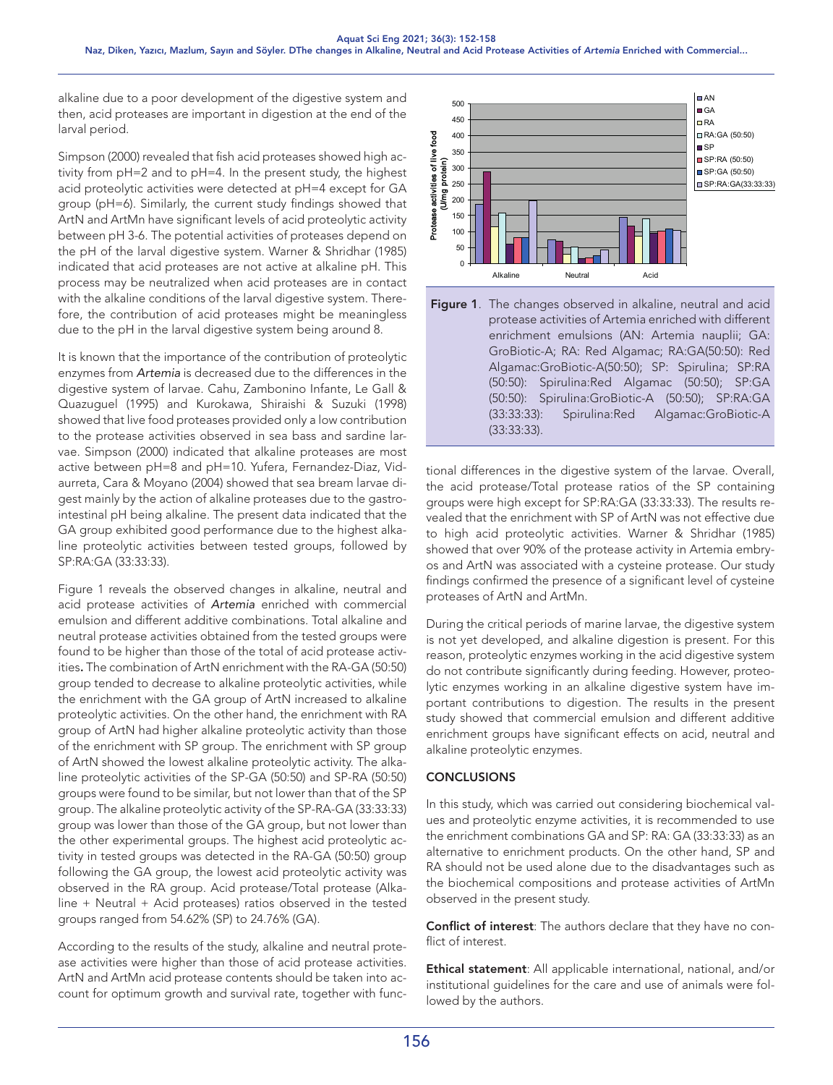alkaline due to a poor development of the digestive system and then, acid proteases are important in digestion at the end of the larval period.

Simpson (2000) revealed that fish acid proteases showed high activity from pH=2 and to pH=4. In the present study, the highest acid proteolytic activities were detected at pH=4 except for GA group (pH=6). Similarly, the current study findings showed that ArtN and ArtMn have significant levels of acid proteolytic activity between pH 3-6. The potential activities of proteases depend on the pH of the larval digestive system. Warner & Shridhar (1985) indicated that acid proteases are not active at alkaline pH. This process may be neutralized when acid proteases are in contact with the alkaline conditions of the larval digestive system. Therefore, the contribution of acid proteases might be meaningless due to the pH in the larval digestive system being around 8.

It is known that the importance of the contribution of proteolytic enzymes from *Artemia* is decreased due to the differences in the digestive system of larvae. Cahu, Zambonino Infante, Le Gall & Quazuguel (1995) and Kurokawa, Shiraishi & Suzuki (1998) showed that live food proteases provided only a low contribution to the protease activities observed in sea bass and sardine larvae. Simpson (2000) indicated that alkaline proteases are most active between pH=8 and pH=10. Yufera, Fernandez-Diaz, Vidaurreta, Cara & Moyano (2004) showed that sea bream larvae digest mainly by the action of alkaline proteases due to the gastrointestinal pH being alkaline. The present data indicated that the GA group exhibited good performance due to the highest alkaline proteolytic activities between tested groups, followed by SP:RA:GA (33:33:33).

Figure 1 reveals the observed changes in alkaline, neutral and acid protease activities of *Artemia* enriched with commercial emulsion and different additive combinations. Total alkaline and neutral protease activities obtained from the tested groups were found to be higher than those of the total of acid protease activities. The combination of ArtN enrichment with the RA-GA (50:50) group tended to decrease to alkaline proteolytic activities, while the enrichment with the GA group of ArtN increased to alkaline proteolytic activities. On the other hand, the enrichment with RA group of ArtN had higher alkaline proteolytic activity than those of the enrichment with SP group. The enrichment with SP group of ArtN showed the lowest alkaline proteolytic activity. The alkaline proteolytic activities of the SP-GA (50:50) and SP-RA (50:50) groups were found to be similar, but not lower than that of the SP group. The alkaline proteolytic activity of the SP-RA-GA (33:33:33) group was lower than those of the GA group, but not lower than the other experimental groups. The highest acid proteolytic activity in tested groups was detected in the RA-GA (50:50) group following the GA group, the lowest acid proteolytic activity was observed in the RA group. Acid protease/Total protease (Alkaline + Neutral + Acid proteases) ratios observed in the tested groups ranged from 54.62% (SP) to 24.76% (GA).

According to the results of the study, alkaline and neutral protease activities were higher than those of acid protease activities. ArtN and ArtMn acid protease contents should be taken into account for optimum growth and survival rate, together with func-





tional differences in the digestive system of the larvae. Overall, the acid protease/Total protease ratios of the SP containing groups were high except for SP:RA:GA (33:33:33). The results revealed that the enrichment with SP of ArtN was not effective due to high acid proteolytic activities. Warner & Shridhar (1985) showed that over 90% of the protease activity in Artemia embryos and ArtN was associated with a cysteine protease. Our study findings confirmed the presence of a significant level of cysteine proteases of ArtN and ArtMn.

During the critical periods of marine larvae, the digestive system is not yet developed, and alkaline digestion is present. For this reason, proteolytic enzymes working in the acid digestive system do not contribute significantly during feeding. However, proteolytic enzymes working in an alkaline digestive system have important contributions to digestion. The results in the present study showed that commercial emulsion and different additive enrichment groups have significant effects on acid, neutral and alkaline proteolytic enzymes.

# **CONCLUSIONS**

In this study, which was carried out considering biochemical values and proteolytic enzyme activities, it is recommended to use the enrichment combinations GA and SP: RA: GA (33:33:33) as an alternative to enrichment products. On the other hand, SP and RA should not be used alone due to the disadvantages such as the biochemical compositions and protease activities of ArtMn observed in the present study.

Conflict of interest: The authors declare that they have no conflict of interest.

Ethical statement: All applicable international, national, and/or institutional guidelines for the care and use of animals were followed by the authors.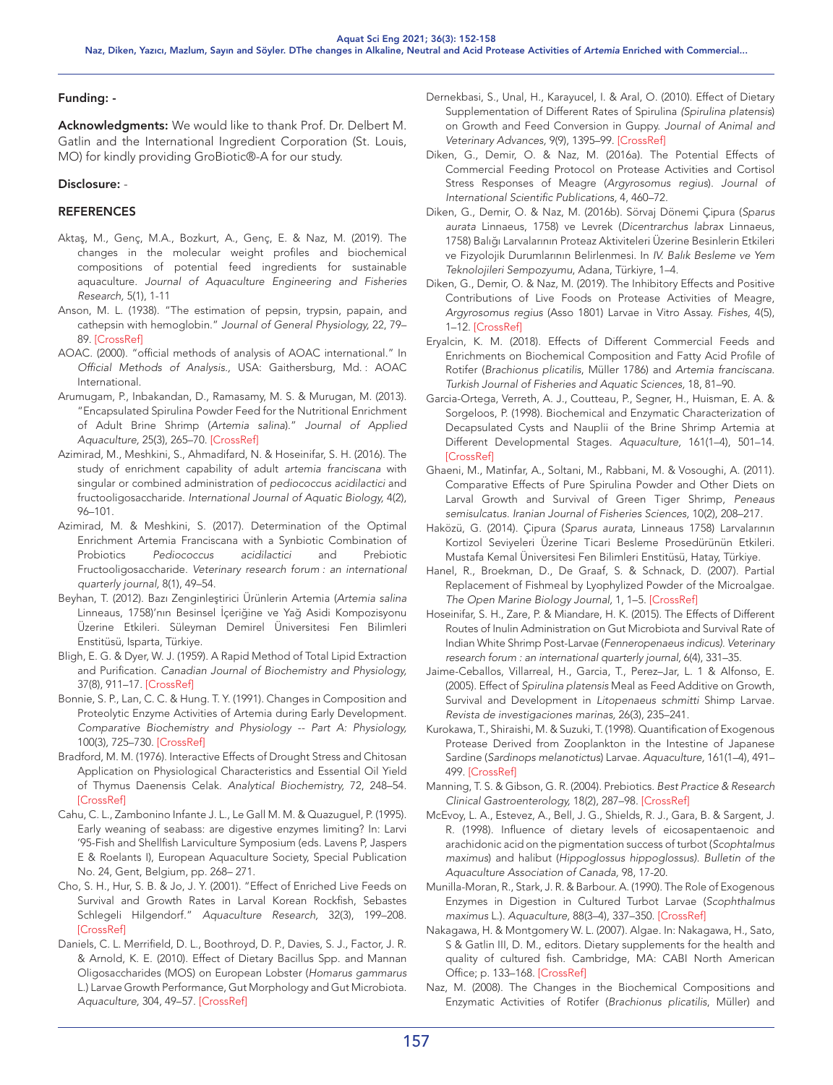# Funding: -

Acknowledgments: We would like to thank Prof. Dr. Delbert M. Gatlin and the International Ingredient Corporation (St. Louis, MO) for kindly providing GroBiotic®-A for our study.

#### Disclosure: -

# REFERENCES

- Aktaş, M., Genç, M.A., Bozkurt, A., Genç, E. & Naz, M. (2019). The changes in the molecular weight profiles and biochemical compositions of potential feed ingredients for sustainable aquaculture. *Journal of Aquaculture Engineering and Fisheries Research,* 5(1), 1-11
- Anson, M. L. (1938). "The estimation of pepsin, trypsin, papain, and cathepsin with hemoglobin." *Journal of General Physiology,* 22, 79– 89. [CrossRef]
- AOAC. (2000). "official methods of analysis of AOAC international." In *Official Methods of Analysis.,* USA: Gaithersburg, Md. : AOAC International.
- Arumugam, P., Inbakandan, D., Ramasamy, M. S. & Murugan, M. (2013). "Encapsulated Spirulina Powder Feed for the Nutritional Enrichment of Adult Brine Shrimp (*Artemia salina*)." *Journal of Applied Aquaculture,* 25(3), 265–70. [\[CrossRef\]](https://doi.org/10.1080/10454438.2013.817182)
- Azimirad, M., Meshkini, S., Ahmadifard, N. & Hoseinifar, S. H. (2016). The study of enrichment capability of adult *artemia franciscana* with singular or combined administration of *pediococcus acidilactici* and fructooligosaccharide. *International Journal of Aquatic Biology,* 4(2), 96–101.
- Azimirad, M. & Meshkini, S. (2017). Determination of the Optimal Enrichment Artemia Franciscana with a Synbiotic Combination of Probiotics *Pediococcus acidilactici* and Prebiotic Fructooligosaccharide. *Veterinary research forum : an international quarterly journal,* 8(1), 49–54.
- Beyhan, T. (2012). Bazı Zenginleştirici Ürünlerin Artemia (*Artemia salina*  Linneaus, 1758)'nın Besinsel İçeriğine ve Yağ Asidi Kompozisyonu Üzerine Etkileri. Süleyman Demirel Üniversitesi Fen Bilimleri Enstitüsü, Isparta, Türkiye.
- Bligh, E. G. & Dyer, W. J. (1959). A Rapid Method of Total Lipid Extraction and Purification. *Canadian Journal of Biochemistry and Physiology,* 37(8), 911–17. [\[CrossRef\]](https://doi.org/10.1139/o59-099)
- Bonnie, S. P., Lan, C. C. & Hung. T. Y. (1991). Changes in Composition and Proteolytic Enzyme Activities of Artemia during Early Development. *Comparative Biochemistry and Physiology -- Part A: Physiology,*  100(3), 725–730. [\[CrossRef\]](https://doi.org/10.1016/0300-9629(91)90397-U)
- Bradford, M. M. (1976). Interactive Effects of Drought Stress and Chitosan Application on Physiological Characteristics and Essential Oil Yield of Thymus Daenensis Celak. *Analytical Biochemistry,* 72, 248–54. **[\[CrossRef\]](https://doi.org/10.1016/0003-2697(76)90527-3)**
- Cahu, C. L., Zambonino Infante J. L., Le Gall M. M. & Quazuguel, P. (1995). Early weaning of seabass: are digestive enzymes limiting? In: Larvi '95-Fish and Shellfish Larviculture Symposium (eds. Lavens P, Jaspers E & Roelants I), European Aquaculture Society, Special Publication No. 24, Gent, Belgium, pp. 268– 271.
- Cho, S. H., Hur, S. B. & Jo, J. Y. (2001). "Effect of Enriched Live Feeds on Survival and Growth Rates in Larval Korean Rockfish, Sebastes Schlegeli Hilgendorf." *Aquaculture Research,* 32(3), 199–208. [\[CrossRef\]](https://doi.org/10.1046/j.1365-2109.2001.00547.x)
- Daniels, C. L. Merrifield, D. L., Boothroyd, D. P., Davies, S. J., Factor, J. R. & Arnold, K. E. (2010). Effect of Dietary Bacillus Spp. and Mannan Oligosaccharides (MOS) on European Lobster (*Homarus gammarus*  L.) Larvae Growth Performance, Gut Morphology and Gut Microbiota. *Aquaculture,* 304, 49–57. [\[CrossRef\]](https://doi.org/10.1016/j.aquaculture.2010.03.018)
- Dernekbasi, S., Unal, H., Karayucel, I. & Aral, O. (2010). Effect of Dietary Supplementation of Different Rates of Spirulina *(Spirulina platensis*) on Growth and Feed Conversion in Guppy. *Journal of Animal and Veterinary Advances,* 9(9), 1395–99. [\[CrossRef\]](https://doi.org/10.3923/javaa.2010.1395.1399)
- Diken, G., Demir, O. & Naz, M. (2016a). The Potential Effects of Commercial Feeding Protocol on Protease Activities and Cortisol Stress Responses of Meagre (*Argyrosomus regius*). *Journal of International Scientific Publications,* 4, 460–72.
- Diken, G., Demir, O. & Naz, M. (2016b). Sörvaj Dönemi Çipura (*Sparus aurata* Linnaeus, 1758) ve Levrek (*Dicentrarchus labrax* Linnaeus, 1758) Balığı Larvalarının Proteaz Aktiviteleri Üzerine Besinlerin Etkileri ve Fizyolojik Durumlarının Belirlenmesi. In *IV. Balık Besleme ve Yem Teknolojileri Sempozyumu*, Adana, Türkiyre, 1–4.
- Diken, G., Demir, O. & Naz, M. (2019). The Inhibitory Effects and Positive Contributions of Live Foods on Protease Activities of Meagre, *Argyrosomus regius* (Asso 1801) Larvae in Vitro Assay. *Fishes,* 4(5), 1–12. [\[CrossRef\]](https://doi.org/10.3390/fishes4010005)
- Eryalcin, K. M. (2018). Effects of Different Commercial Feeds and Enrichments on Biochemical Composition and Fatty Acid Profile of Rotifer (*Brachionus plicatilis*, Müller 1786) and *Artemia franciscana. Turkish Journal of Fisheries and Aquatic Sciences,* 18, 81–90.
- Garcia-Ortega, Verreth, A. J., Coutteau, P., Segner, H., Huisman, E. A. & Sorgeloos, P. (1998). Biochemical and Enzymatic Characterization of Decapsulated Cysts and Nauplii of the Brine Shrimp Artemia at Different Developmental Stages. *Aquaculture,* 161(1–4), 501–14. [\[CrossRef\]](https://doi.org/10.1016/S0044-8486(97)00297-4)
- Ghaeni, M., Matinfar, A., Soltani, M., Rabbani, M. & Vosoughi, A. (2011). Comparative Effects of Pure Spirulina Powder and Other Diets on Larval Growth and Survival of Green Tiger Shrimp, *Peneaus semisulcatus. Iranian Journal of Fisheries Sciences,* 10(2), 208–217.
- Haközü, G. (2014). Çipura (*Sparus aurata,* Linneaus 1758) Larvalarının Kortizol Seviyeleri Üzerine Ticari Besleme Prosedürünün Etkileri. Mustafa Kemal Üniversitesi Fen Bilimleri Enstitüsü, Hatay, Türkiye.
- Hanel, R., Broekman, D., De Graaf, S. & Schnack, D. (2007). Partial Replacement of Fishmeal by Lyophylized Powder of the Microalgae. *The Open Marine Biology Journal,* 1, 1–5. [\[CrossRef\]](https://doi.org/10.2174/1874450800701010001)
- Hoseinifar, S. H., Zare, P. & Miandare, H. K. (2015). The Effects of Different Routes of Inulin Administration on Gut Microbiota and Survival Rate of Indian White Shrimp Post-Larvae (*Fenneropenaeus indicus). Veterinary research forum : an international quarterly journal,* 6(4), 331–35.
- Jaime-Ceballos, Villarreal, H., Garcia, T., Perez–Jar, L. 1 & Alfonso, E. (2005). Effect of *Spirulina platensis* Meal as Feed Additive on Growth, Survival and Development in *Litopenaeus schmitti* Shimp Larvae. *Revista de investigaciones marinas,* 26(3), 235–241.
- Kurokawa, T., Shiraishi, M. & Suzuki, T. (1998). Quantification of Exogenous Protease Derived from Zooplankton in the Intestine of Japanese Sardine (*Sardinops melanotictus*) Larvae. *Aquaculture,* 161(1–4), 491– 499. [\[CrossRef\]](https://doi.org/10.1016/S0044-8486(97)00296-2)
- Manning, T. S. & Gibson, G. R. (2004). Prebiotics. *Best Practice & Research Clinical Gastroenterology,* 18(2), 287–98[. \[CrossRef\]](https://doi.org/10.1016/j.bpg.2003.10.008)
- McEvoy, L. A., Estevez, A., Bell, J. G., Shields, R. J., Gara, B. & Sargent, J. R. (1998). Influence of dietary levels of eicosapentaenoic and arachidonic acid on the pigmentation success of turbot (*Scophtalmus maximus*) and halibut (*Hippoglossus hippoglossus). Bulletin of the Aquaculture Association of Canada,* 98, 17-20.
- Munilla-Moran, R., Stark, J. R. & Barbour. A. (1990). The Role of Exogenous Enzymes in Digestion in Cultured Turbot Larvae (*Scophthalmus maximus* L.). *Aquaculture,* 88(3–4), 337–350[. \[CrossRef\]](https://doi.org/10.1016/0044-8486(90)90159-K)
- Nakagawa, H. & Montgomery W. L. (2007). Algae. In: Nakagawa, H., Sato, S & Gatlin III, D. M., editors. Dietary supplements for the health and quality of cultured fish. Cambridge, MA: CABI North American Office; p. 133–168. [\[CrossRef\]](https://doi.org/10.1079/9781845931995.0000)
- Naz, M. (2008). The Changes in the Biochemical Compositions and Enzymatic Activities of Rotifer (*Brachionus plicatilis*, Müller) and